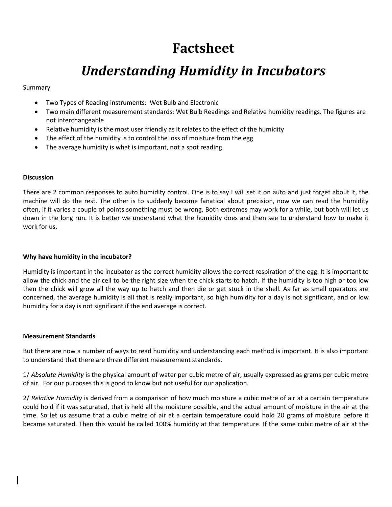# **Factsheet**

# *Understanding Humidity in Incubators*

# Summary

- Two Types of Reading instruments: Wet Bulb and Electronic
- Two main different measurement standards: Wet Bulb Readings and Relative humidity readings. The figures are not interchangeable
- Relative humidity is the most user friendly as it relates to the effect of the humidity
- The effect of the humidity is to control the loss of moisture from the egg
- The average humidity is what is important, not a spot reading.

#### **Discussion**

There are 2 common responses to auto humidity control. One is to say I will set it on auto and just forget about it, the machine will do the rest. The other is to suddenly become fanatical about precision, now we can read the humidity often, if it varies a couple of points something must be wrong. Both extremes may work for a while, but both will let us down in the long run. It is better we understand what the humidity does and then see to understand how to make it work for us.

# **Why have humidity in the incubator?**

Humidity is important in the incubator as the correct humidity allows the correct respiration of the egg. It is important to allow the chick and the air cell to be the right size when the chick starts to hatch. If the humidity is too high or too low then the chick will grow all the way up to hatch and then die or get stuck in the shell. As far as small operators are concerned, the average humidity is all that is really important, so high humidity for a day is not significant, and or low humidity for a day is not significant if the end average is correct.

#### **Measurement Standards**

But there are now a number of ways to read humidity and understanding each method is important. It is also important to understand that there are three different measurement standards.

1/ *Absolute Humidity* is the physical amount of water per cubic metre of air, usually expressed as grams per cubic metre of air. For our purposes this is good to know but not useful for our application.

2/ *Relative Humidity* is derived from a comparison of how much moisture a cubic metre of air at a certain temperature could hold if it was saturated, that is held all the moisture possible, and the actual amount of moisture in the air at the time. So let us assume that a cubic metre of air at a certain temperature could hold 20 grams of moisture before it became saturated. Then this would be called 100% humidity at that temperature. If the same cubic metre of air at the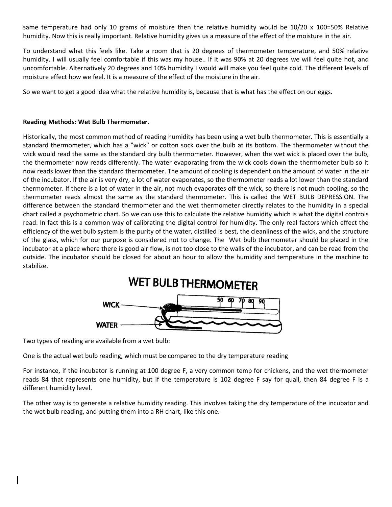same temperature had only 10 grams of moisture then the relative humidity would be 10/20 x 100=50% Relative humidity. Now this is really important. Relative humidity gives us a measure of the effect of the moisture in the air.

To understand what this feels like. Take a room that is 20 degrees of thermometer temperature, and 50% relative humidity. I will usually feel comfortable if this was my house.. If it was 90% at 20 degrees we will feel quite hot, and uncomfortable. Alternatively 20 degrees and 10% humidity I would will make you feel quite cold. The different levels of moisture effect how we feel. It is a measure of the effect of the moisture in the air.

So we want to get a good idea what the relative humidity is, because that is what has the effect on our eggs.

# **Reading Methods: Wet Bulb Thermometer.**

Historically, the most common method of reading humidity has been using a wet bulb thermometer. This is essentially a standard thermometer, which has a "wick" or cotton sock over the bulb at its bottom. The thermometer without the wick would read the same as the standard dry bulb thermometer. However, when the wet wick is placed over the bulb, the thermometer now reads differently. The water evaporating from the wick cools down the thermometer bulb so it now reads lower than the standard thermometer. The amount of cooling is dependent on the amount of water in the air of the incubator. If the air is very dry, a lot of water evaporates, so the thermometer reads a lot lower than the standard thermometer. If there is a lot of water in the air, not much evaporates off the wick, so there is not much cooling, so the thermometer reads almost the same as the standard thermometer. This is called the WET BULB DEPRESSION. The difference between the standard thermometer and the wet thermometer directly relates to the humidity in a special chart called a psychometric chart. So we can use this to calculate the relative humidity which is what the digital controls read. In fact this is a common way of calibrating the digital control for humidity. The only real factors which effect the efficiency of the wet bulb system is the purity of the water, distilled is best, the cleanliness of the wick, and the structure of the glass, which for our purpose is considered not to change. The Wet bulb thermometer should be placed in the incubator at a place where there is good air flow, is not too close to the walls of the incubator, and can be read from the outside. The incubator should be closed for about an hour to allow the humidity and temperature in the machine to stabilize.



Two types of reading are available from a wet bulb:

One is the actual wet bulb reading, which must be compared to the dry temperature reading

For instance, if the incubator is running at 100 degree F, a very common temp for chickens, and the wet thermometer reads 84 that represents one humidity, but if the temperature is 102 degree F say for quail, then 84 degree F is a different humidity level.

The other way is to generate a relative humidity reading. This involves taking the dry temperature of the incubator and the wet bulb reading, and putting them into a RH chart, like this one.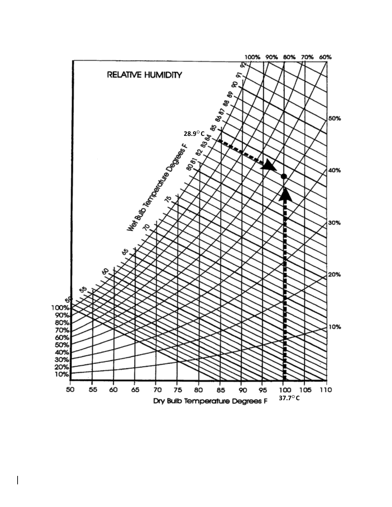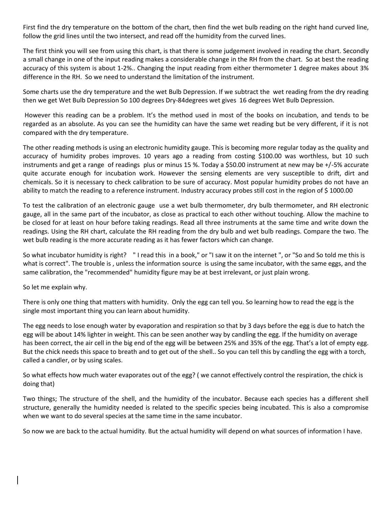First find the dry temperature on the bottom of the chart, then find the wet bulb reading on the right hand curved line, follow the grid lines until the two intersect, and read off the humidity from the curved lines.

The first think you will see from using this chart, is that there is some judgement involved in reading the chart. Secondly a small change in one of the input reading makes a considerable change in the RH from the chart. So at best the reading accuracy of this system is about 1-2%.. Changing the input reading from either thermometer 1 degree makes about 3% difference in the RH. So we need to understand the limitation of the instrument.

Some charts use the dry temperature and the wet Bulb Depression. If we subtract the wet reading from the dry reading then we get Wet Bulb Depression So 100 degrees Dry-84degrees wet gives 16 degrees Wet Bulb Depression.

However this reading can be a problem. It's the method used in most of the books on incubation, and tends to be regarded as an absolute. As you can see the humidity can have the same wet reading but be very different, if it is not compared with the dry temperature.

The other reading methods is using an electronic humidity gauge. This is becoming more regular today as the quality and accuracy of humidity probes improves. 10 years ago a reading from costing \$100.00 was worthless, but 10 such instruments and get a range of readings plus or minus 15 %. Today a \$50.00 instrument at new may be +/-5% accurate quite accurate enough for incubation work. However the sensing elements are very susceptible to drift, dirt and chemicals. So it is necessary to check calibration to be sure of accuracy. Most popular humidity probes do not have an ability to match the reading to a reference instrument. Industry accuracy probes still cost in the region of \$1000.00

To test the calibration of an electronic gauge use a wet bulb thermometer, dry bulb thermometer, and RH electronic gauge, all in the same part of the incubator, as close as practical to each other without touching. Allow the machine to be closed for at least on hour before taking readings. Read all three instruments at the same time and write down the readings. Using the RH chart, calculate the RH reading from the dry bulb and wet bulb readings. Compare the two. The wet bulb reading is the more accurate reading as it has fewer factors which can change.

So what incubator humidity is right? " I read this in a book," or "I saw it on the internet ", or "So and So told me this is what is correct". The trouble is , unless the information source is using the same incubator, with the same eggs, and the same calibration, the "recommended" humidity figure may be at best irrelevant, or just plain wrong.

So let me explain why.

There is only one thing that matters with humidity. Only the egg can tell you. So learning how to read the egg is the single most important thing you can learn about humidity.

The egg needs to lose enough water by evaporation and respiration so that by 3 days before the egg is due to hatch the egg will be about 14% lighter in weight. This can be seen another way by candling the egg. If the humidity on average has been correct, the air cell in the big end of the egg will be between 25% and 35% of the egg. That's a lot of empty egg. But the chick needs this space to breath and to get out of the shell.. So you can tell this by candling the egg with a torch, called a candler, or by using scales.

So what effects how much water evaporates out of the egg? ( we cannot effectively control the respiration, the chick is doing that)

Two things; The structure of the shell, and the humidity of the incubator. Because each species has a different shell structure, generally the humidity needed is related to the specific species being incubated. This is also a compromise when we want to do several species at the same time in the same incubator.

So now we are back to the actual humidity. But the actual humidity will depend on what sources of information I have.